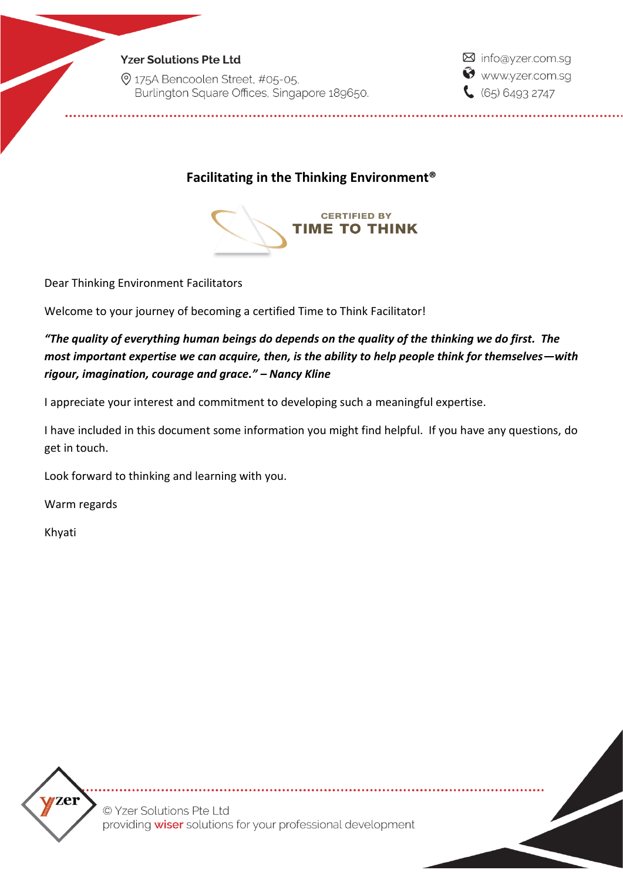2 175A Bencoolen Street, #05-05, Burlington Square Offices, Singapore 189650. ⊠ info@yzer.com.sg Www.yzer.com.sg  $(65) 6493 2747$ 

**Facilitating in the Thinking Environment®**



Dear Thinking Environment Facilitators

Welcome to your journey of becoming a certified Time to Think Facilitator!

*"The quality of everything human beings do depends on the quality of the thinking we do first. The most important expertise we can acquire, then, is the ability to help people think for themselves—with rigour, imagination, courage and grace." – Nancy Kline*

I appreciate your interest and commitment to developing such a meaningful expertise.

I have included in this document some information you might find helpful. If you have any questions, do get in touch.

Look forward to thinking and learning with you.

Warm regards

Khyati



© Yzer Solutions Pte Ltd providing **wiser** solutions for your professional development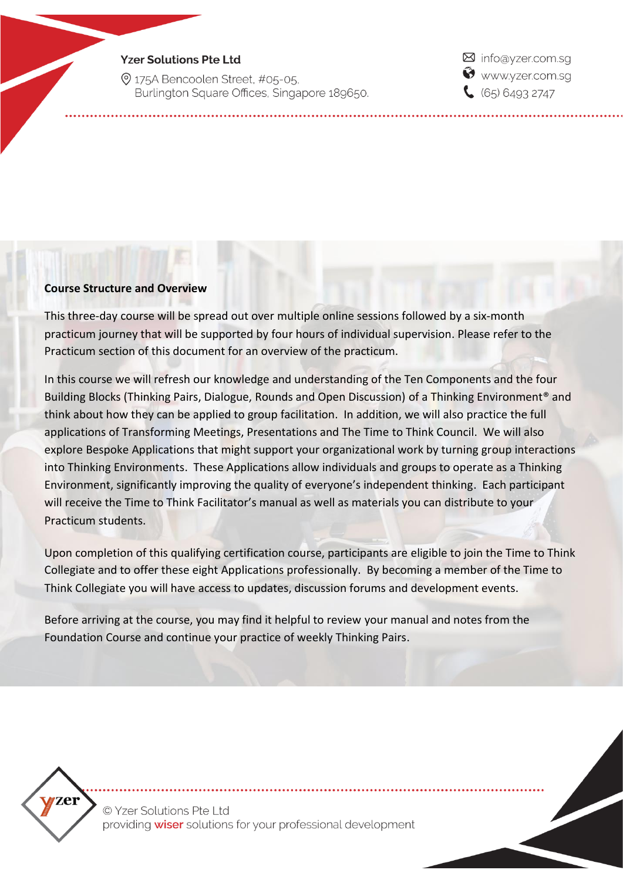2 175A Bencoolen Street, #05-05. Burlington Square Offices, Singapore 189650. ⊠ info@yzer.com.sq Www.yzer.com.sq  $(65) 6493 2747$ 

### **Course Structure and Overview**

This three-day course will be spread out over multiple online sessions followed by a six-month practicum journey that will be supported by four hours of individual supervision. Please refer to the Practicum section of this document for an overview of the practicum.

In this course we will refresh our knowledge and understanding of the Ten Components and the four Building Blocks (Thinking Pairs, Dialogue, Rounds and Open Discussion) of a Thinking Environment<sup>®</sup> and think about how they can be applied to group facilitation. In addition, we will also practice the full applications of Transforming Meetings, Presentations and The Time to Think Council. We will also explore Bespoke Applications that might support your organizational work by turning group interactions into Thinking Environments. These Applications allow individuals and groups to operate as a Thinking Environment, significantly improving the quality of everyone's independent thinking. Each participant will receive the Time to Think Facilitator's manual as well as materials you can distribute to your Practicum students.

Upon completion of this qualifying certification course, participants are eligible to join the Time to Think Collegiate and to offer these eight Applications professionally. By becoming a member of the Time to Think Collegiate you will have access to updates, discussion forums and development events.

Before arriving at the course, you may find it helpful to review your manual and notes from the Foundation Course and continue your practice of weekly Thinking Pairs.



© Yzer Solutions Pte Ltd providing wiser solutions for your professional development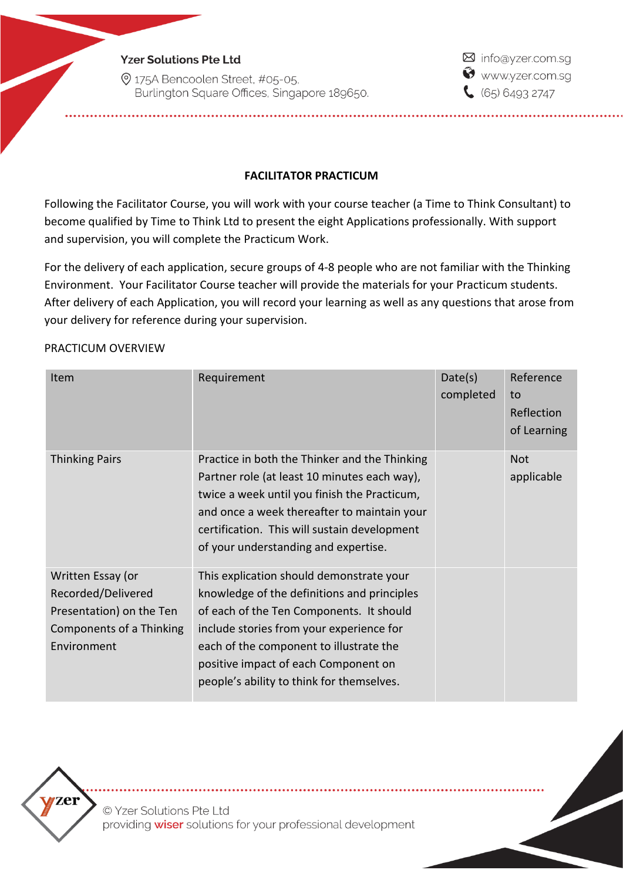2 175A Bencoolen Street, #05-05, Burlington Square Offices, Singapore 189650. ⊠ info@yzer.com.sg Www.yzer.com.sq  $65064932747$ 

## **FACILITATOR PRACTICUM**

Following the Facilitator Course, you will work with your course teacher (a Time to Think Consultant) to become qualified by Time to Think Ltd to present the eight Applications professionally. With support and supervision, you will complete the Practicum Work.

For the delivery of each application, secure groups of 4-8 people who are not familiar with the Thinking Environment. Your Facilitator Course teacher will provide the materials for your Practicum students. After delivery of each Application, you will record your learning as well as any questions that arose from your delivery for reference during your supervision.

### PRACTICUM OVERVIEW

| Item                     | Requirement                                                                                                                                                                                                                                                                          | Date(s)<br>completed | Reference<br>to<br>Reflection<br>of Learning |
|--------------------------|--------------------------------------------------------------------------------------------------------------------------------------------------------------------------------------------------------------------------------------------------------------------------------------|----------------------|----------------------------------------------|
| <b>Thinking Pairs</b>    | Practice in both the Thinker and the Thinking<br>Partner role (at least 10 minutes each way),<br>twice a week until you finish the Practicum,<br>and once a week thereafter to maintain your<br>certification. This will sustain development<br>of your understanding and expertise. |                      | <b>Not</b><br>applicable                     |
| Written Essay (or        | This explication should demonstrate your                                                                                                                                                                                                                                             |                      |                                              |
| Recorded/Delivered       | knowledge of the definitions and principles                                                                                                                                                                                                                                          |                      |                                              |
| Presentation) on the Ten | of each of the Ten Components. It should                                                                                                                                                                                                                                             |                      |                                              |
| Components of a Thinking | include stories from your experience for                                                                                                                                                                                                                                             |                      |                                              |
| Environment              | each of the component to illustrate the                                                                                                                                                                                                                                              |                      |                                              |
|                          | positive impact of each Component on                                                                                                                                                                                                                                                 |                      |                                              |
|                          | people's ability to think for themselves.                                                                                                                                                                                                                                            |                      |                                              |



© Yzer Solutions Pte Ltd providing wiser solutions for your professional development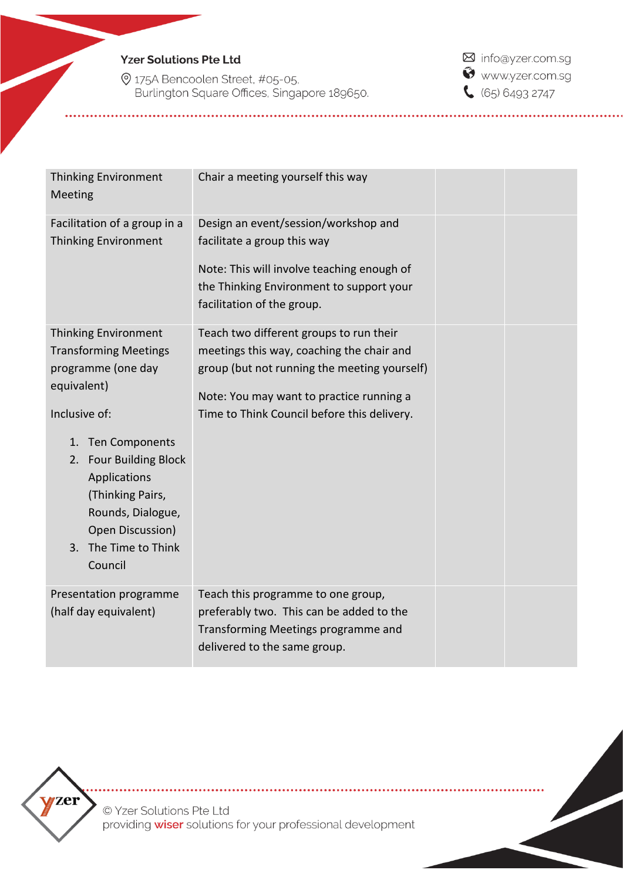9 175A Bencoolen Street, #05-05,<br>Burlington Square Offices, Singapore 189650.

M info@yzer.com.sg Www.yzer.com.sg  $65064932747$ 

| <b>Thinking Environment</b><br>Meeting                                                                                                                                   | Chair a meeting yourself this way                                                                                                                                                                                               |  |
|--------------------------------------------------------------------------------------------------------------------------------------------------------------------------|---------------------------------------------------------------------------------------------------------------------------------------------------------------------------------------------------------------------------------|--|
| Facilitation of a group in a<br><b>Thinking Environment</b>                                                                                                              | Design an event/session/workshop and<br>facilitate a group this way<br>Note: This will involve teaching enough of<br>the Thinking Environment to support your<br>facilitation of the group.                                     |  |
| Thinking Environment<br><b>Transforming Meetings</b><br>programme (one day<br>equivalent)<br>Inclusive of:                                                               | Teach two different groups to run their<br>meetings this way, coaching the chair and<br>group (but not running the meeting yourself)<br>Note: You may want to practice running a<br>Time to Think Council before this delivery. |  |
| 1. Ten Components<br><b>Four Building Block</b><br>2.<br>Applications<br>(Thinking Pairs,<br>Rounds, Dialogue,<br>Open Discussion)<br>The Time to Think<br>3.<br>Council |                                                                                                                                                                                                                                 |  |
| Presentation programme<br>(half day equivalent)                                                                                                                          | Teach this programme to one group,<br>preferably two. This can be added to the<br>Transforming Meetings programme and<br>delivered to the same group.                                                                           |  |



© Yzer Solutions Pte Ltd providing wiser solutions for your professional development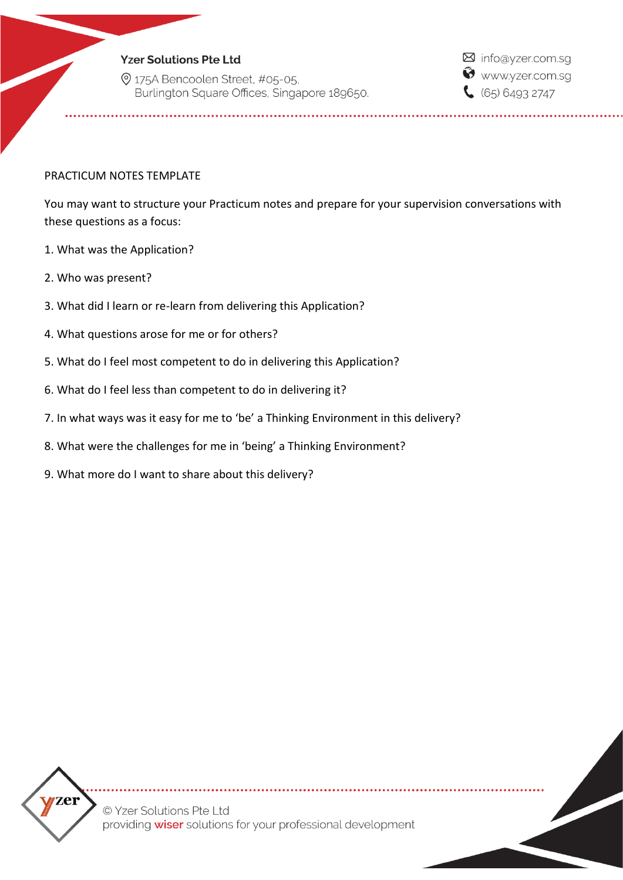2 175A Bencoolen Street, #05-05, Burlington Square Offices, Singapore 189650. M info@yzer.com.sg Www.yzer.com.sg  $65064932747$ 

### PRACTICUM NOTES TEMPLATE

You may want to structure your Practicum notes and prepare for your supervision conversations with these questions as a focus:

- 1. What was the Application?
- 2. Who was present?
- 3. What did I learn or re-learn from delivering this Application?
- 4. What questions arose for me or for others?
- 5. What do I feel most competent to do in delivering this Application?
- 6. What do I feel less than competent to do in delivering it?
- 7. In what ways was it easy for me to 'be' a Thinking Environment in this delivery?
- 8. What were the challenges for me in 'being' a Thinking Environment?
- 9. What more do I want to share about this delivery?